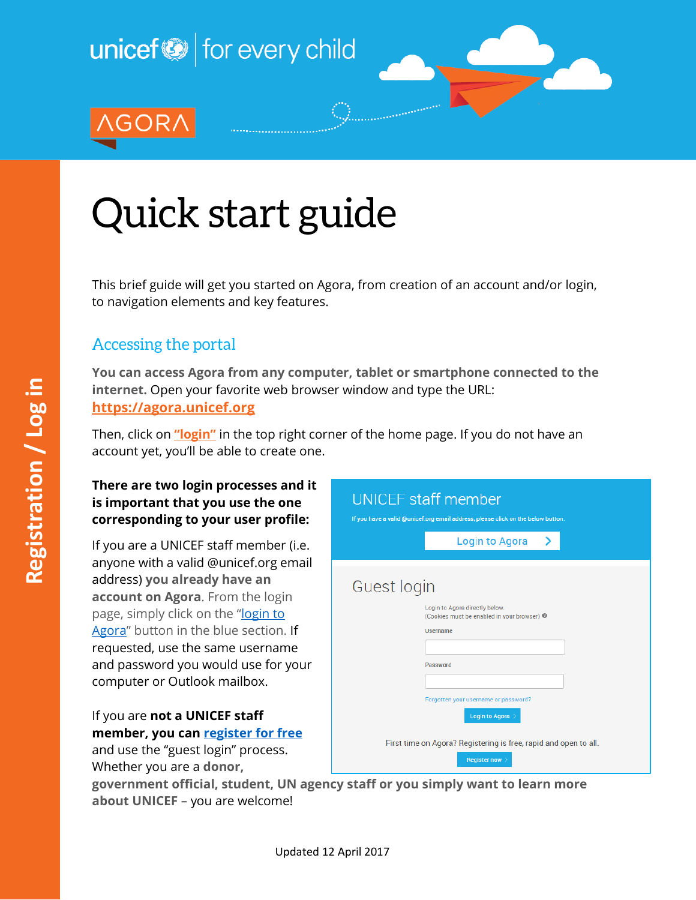

# Quick start guide

This brief guide will get you started on Agora, from creation of an account and/or login, to navigation elements and key features.

## Accessing the portal

**You can access Agora from any computer, tablet or smartphone connected to the internet.** Open your favorite web browser window and type the URL: **[https://agora.unicef.org](https://agora.unicef.org/)**

Then, click on **["login"](https://agora.unicef.org/login/signup.php?)** in the top right corner of the home page. If you do not have an account yet, you'll be able to create one.

#### **There are two login processes and it is important that you use the one corresponding to your user profile:**

If you are a UNICEF staff member (i.e. anyone with a valid @unicef.org email address) **you already have an account on Agora**. From the login page, simply click on the "login to [Agora](https://agora.unicef.org/login/signup.php?)" button in the blue section. If requested, use the same username and password you would use for your computer or Outlook mailbox.

#### If you are **not a UNICEF staff member, you can [register for free](https://agora.unicef.org/login/signup.php?)**

and use the "guest login" process. Whether you are a **donor,** 



**government official, student, UN agency staff or you simply want to learn more about UNICEF** – you are welcome!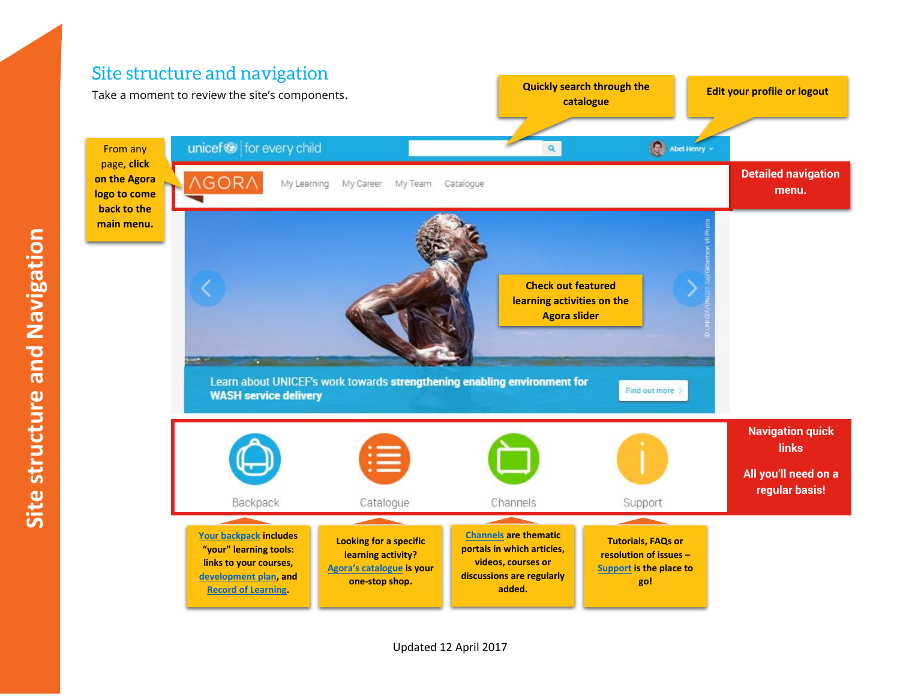# Site structure and navigation